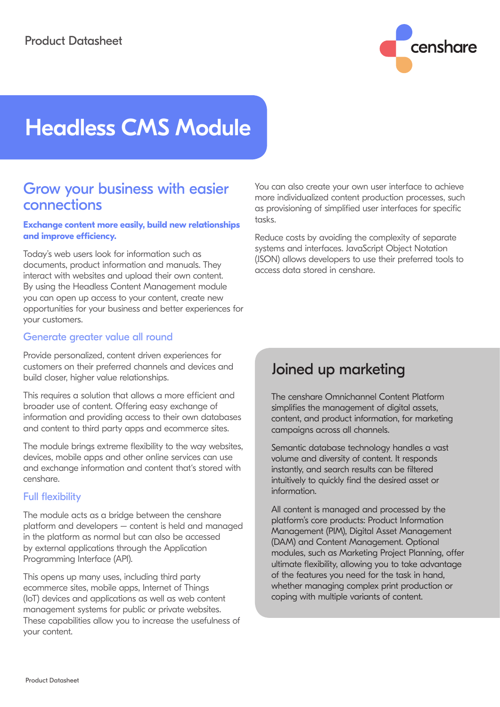

# Headless CMS Module

# Grow your business with easier connections

#### **Exchange content more easily, build new relationships and improve efficiency.**

Today's web users look for information such as documents, product information and manuals. They interact with websites and upload their own content. By using the Headless Content Management module you can open up access to your content, create new opportunities for your business and better experiences for your customers.

### Generate greater value all round

Provide personalized, content driven experiences for customers on their preferred channels and devices and build closer, higher value relationships.

This requires a solution that allows a more efficient and broader use of content. Offering easy exchange of information and providing access to their own databases and content to third party apps and ecommerce sites.

The module brings extreme flexibility to the way websites, devices, mobile apps and other online services can use and exchange information and content that's stored with censhare.

## Full flexibility

The module acts as a bridge between the censhare platform and developers – content is held and managed in the platform as normal but can also be accessed by external applications through the Application Programming Interface (API).

This opens up many uses, including third party ecommerce sites, mobile apps, Internet of Things (IoT) devices and applications as well as web content management systems for public or private websites. These capabilities allow you to increase the usefulness of your content.

You can also create your own user interface to achieve more individualized content production processes, such as provisioning of simplified user interfaces for specific tasks.

Reduce costs by avoiding the complexity of separate systems and interfaces. JavaScript Object Notation (JSON) allows developers to use their preferred tools to access data stored in censhare.

# Joined up marketing

The censhare Omnichannel Content Platform simplifies the management of digital assets, content, and product information, for marketing campaigns across all channels.

Semantic database technology handles a vast volume and diversity of content. It responds instantly, and search results can be filtered intuitively to quickly find the desired asset or information.

All content is managed and processed by the platform's core products: Product Information Management (PIM), Digital Asset Management (DAM) and Content Management. Optional modules, such as Marketing Project Planning, offer ultimate flexibility, allowing you to take advantage of the features you need for the task in hand, whether managing complex print production or coping with multiple variants of content.